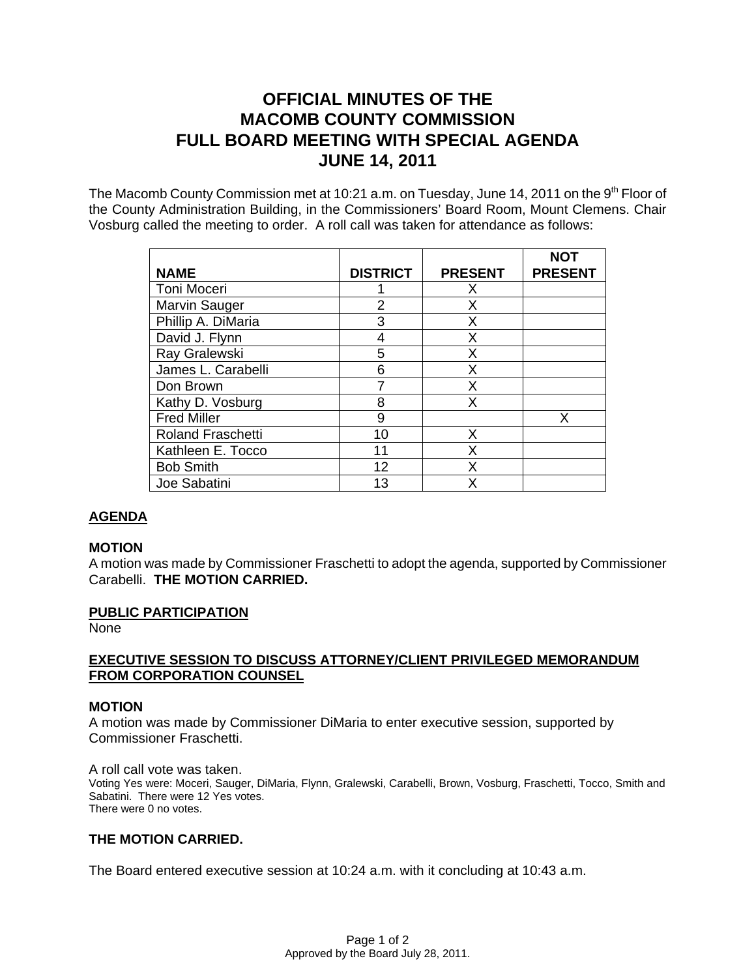# **OFFICIAL MINUTES OF THE MACOMB COUNTY COMMISSION FULL BOARD MEETING WITH SPECIAL AGENDA JUNE 14, 2011**

The Macomb County Commission met at 10:21 a.m. on Tuesday, June 14, 2011 on the  $9<sup>th</sup>$  Floor of the County Administration Building, in the Commissioners' Board Room, Mount Clemens. Chair Vosburg called the meeting to order. A roll call was taken for attendance as follows:

|                          |                 |                | <b>NOT</b>     |
|--------------------------|-----------------|----------------|----------------|
| <b>NAME</b>              | <b>DISTRICT</b> | <b>PRESENT</b> | <b>PRESENT</b> |
| Toni Moceri              |                 | Х              |                |
| <b>Marvin Sauger</b>     | 2               | Х              |                |
| Phillip A. DiMaria       | 3               | X              |                |
| David J. Flynn           |                 | х              |                |
| Ray Gralewski            | 5               | x              |                |
| James L. Carabelli       | 6               | x              |                |
| Don Brown                |                 | x              |                |
| Kathy D. Vosburg         | 8               | х              |                |
| <b>Fred Miller</b>       | 9               |                | x              |
| <b>Roland Fraschetti</b> | 10              | Х              |                |
| Kathleen E. Tocco        | 11              | x              |                |
| <b>Bob Smith</b>         | 12              | Χ              |                |
| Joe Sabatini             | 13              |                |                |

# **AGENDA**

# **MOTION**

A motion was made by Commissioner Fraschetti to adopt the agenda, supported by Commissioner Carabelli. **THE MOTION CARRIED.**

## **PUBLIC PARTICIPATION**

None

# **EXECUTIVE SESSION TO DISCUSS ATTORNEY/CLIENT PRIVILEGED MEMORANDUM FROM CORPORATION COUNSEL**

## **MOTION**

A motion was made by Commissioner DiMaria to enter executive session, supported by Commissioner Fraschetti.

A roll call vote was taken. Voting Yes were: Moceri, Sauger, DiMaria, Flynn, Gralewski, Carabelli, Brown, Vosburg, Fraschetti, Tocco, Smith and Sabatini. There were 12 Yes votes. There were 0 no votes.

# **THE MOTION CARRIED.**

The Board entered executive session at 10:24 a.m. with it concluding at 10:43 a.m.